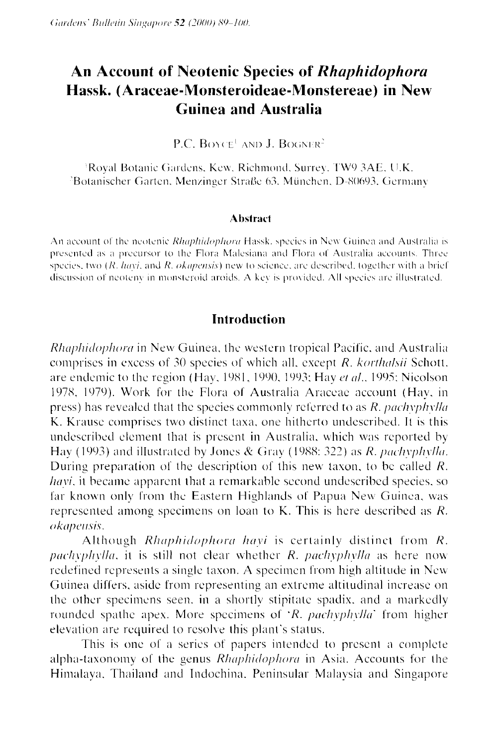# **An Account of Neotenic Species of** *Rhuphidophora*  **Hassk. (Araceae-Monsteroideae-Monstereae) in New Guinea and Australia**

P.C. BOYCE<sup>1</sup> AND J. BOGNER<sup>2</sup>

Royal Botanic Gardens, Kew, Richmond, Surrey, TW9 3AE, U.K. Botanischer Garten, Menzinger Straße 63, München, D-80693, Germany

#### **Ahstrart**

An account of the neotenic *Rhaphidophora* Hassk, species in New Guinea and Australia is presented as a precursor to the Flora Malesiana and Flora of Australia accounts. Three species, two  $(R, h a v i$ , and  $R, o k a p e n s i$  new to science, are described, together with a brief discussion of neoteny in monsteroid aroids. A key is provided. All species are illustrated.

## **Introduction**

Rhaphidophora in New Guinea, the western tropical Pacific, and Australia comprises in excess of 30 species of which all, except  $R$ . *korthalsii* Schott. are endemic to the region (Hay, 1981, 1990, 1993; Hay et al., 1995; Nicolson 1978, 1979). Work for the Flora of Australia Araceae account (Hav. in press) has revealed that the species commonly referred to as *R. pachyphylla* K. Krause comprises two distinct taxa, one hitherto undescribed. It is this undescribed element that is present in Australia, which was reported by Hay (1993) and illustrated by Jones & Gray (1988: 322) as  $R$ . pachyphylla. During preparation of the description of this new taxon, to be called R. *havi*, it became apparent that a remarkable second undescribed species, so far known only from the Eastern Highlands of Papua New Guinea, was represented among specimens on loan to K. This is here described as  $R$ . o kapensis.

Although *Rhaphidophora havi* is certainly distinct from  $R$ . pachyplylla, it is still not clear whether  $R$ . pachyphylla as here now redefined represents a single taxon. A specimen from high altitude in New Guinea differs. aside from representing an extreme altitudinal increase on the other specimens seen, in a shortly stipitate spadix, and a markedly rounded spathe apex. More specimens of 'R. pachyphylla' from higher elevation are required to resolve this plant's status.

This is one of a series of papers intended to present a complete alpha-taxonomy of the genus Rhaphidophora in Asia. Accounts for the Himalaya. Thailand and Indochina. Peninsular Malaysia and Singapore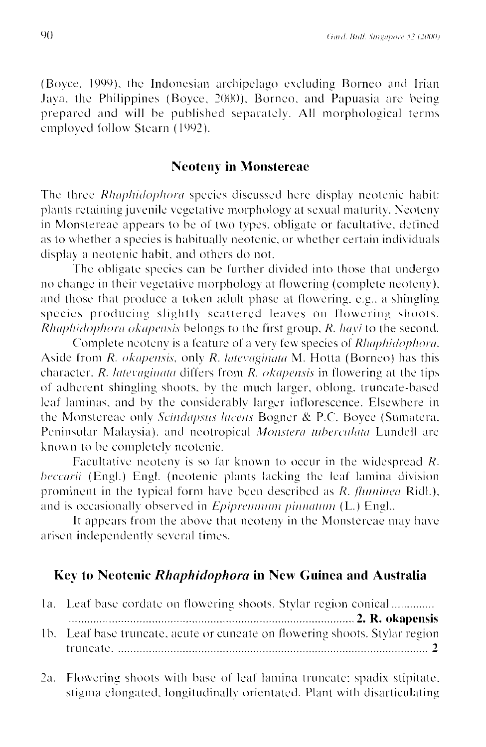(Boyce, 1999), the Indonesian archipelago excluding Borneo and Irian Java, the Philippines (Boyce, 2000), Borneo, and Papuasia are being prepared and will be published separately. All morphological terms emploved follow Stearn (1992).

## **Neoteny in Monstereae**

The three *Rhaphidophora* species discussed here display neotenic habit: plants retaining juvenile vegetative morphology at sexual maturity. Neoteny in Monstereae appears to be of two types, obligate or facultative, defined as to whether a species is habitually neotenic, or whether certain individuals display a neotenic habit, and others do not.

The obligate species can be further divided into those that undergo no change in their vegetative morphology at flowering (complete neoteny), and those that produce a token adult phase at flowering, e.g., a shingling species producing slightly scattered leaves on flowering shoots. Rhaphidophora okapensis belongs to the first group, R. havi to the second.

Complete neoteny is a feature of a very few species of Rhaphidophora. Aside from  $R$ . *okapensis*, only  $R$ . *latevaginata*  $M$ . Hotta (Borneo) has this character. R. latevaginata differs from  $R$ . *okapensis* in flowering at the tips of adherent shingling shoots, by the much larger, oblong, truncate-based leaf laminas, and by the considerably larger inflorescence. Elsewhere in the Monstereae only Scindapsus lucens Bogner & P.C. Boyce (Sumatera, Peninsular Malaysia), and neotropical Monstera tuberculata Lundell are known to be completely neotenic.

Facultative neoteny is so far known to occur in the widespread  $R$ . *beccarii* (Engl.) Engl. (neotenic plants lacking the leaf lamina division prominent in the typical form have been described as  $R$ . *fluminea* Ridl.), and is occasionally observed in *Epipremium pinnatum* (L.) Engl..

It appears from the above that neoteny in the Monstereae may have arisen independently several times.

## Key to Neotenic Rhaphidophora in New Guinea and Australia

|  | 1a. Leaf base cordate on flowering shoots. Stylar region conical            |
|--|-----------------------------------------------------------------------------|
|  |                                                                             |
|  | 1b. Leaf base truncate, acute or cuneate on flowering shoots. Stylar region |
|  |                                                                             |

2a. Flowering shoots with base of leaf lamina truncate; spadix stipitate, stigma elongated, longitudinally orientated. Plant with disarticulating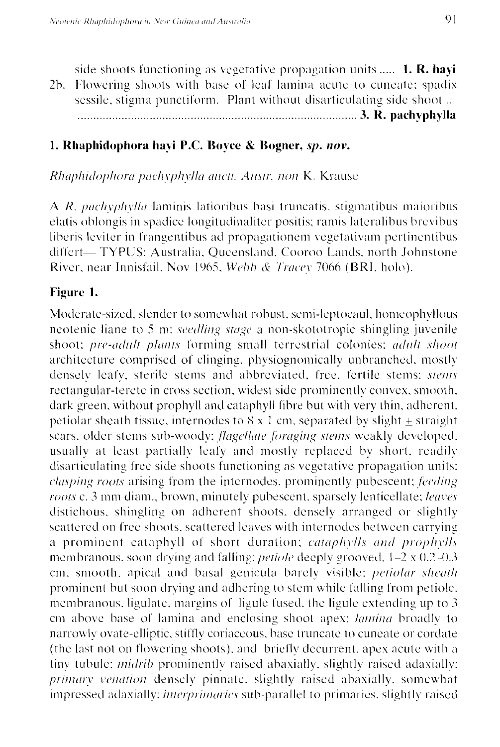side shoots functioning as vegetative propagation units ..... 1. R. havi 2b. Flowering shoots with base of leaf lamina acute to cuneate; spadix sessile, stigma punctiform. Plant without disarticulating side shoot... 

# 1. Rhaphidophora havi P.C. Boyce & Bogner, sp. nov.

Rhaphidophora pachyphylla auctt. Austr. non K. Krause

A R. pachyphylla laminis latioribus basi truncatis, stigmatibus maioribus elatis oblongis in spadice longitudinaliter positis; ramis lateralibus brevibus liberis leviter in frangentibus ad propagationem vegetativam pertinentibus differt—TYPUS: Australia, Queensland, Cooroo Lands, north Johnstone River, near Innisfail, Nov 1965, Webb & Tracey 7066 (BRI, holo).

#### Figure 1.

Moderate-sized, slender to somewhat robust, semi-leptocaul, homeophyllous neotenic liane to 5 m; *seedling stage* a non-skototropic shingling juvenile shoot; pre-adult plants forming small terrestrial colonies; adult shoot architecture comprised of clinging, physiognomically unbranched, mostly denselv leafy, sterile stems and abbreviated, free, fertile stems; stems rectangular-terete in cross section, widest side prominently convex, smooth, dark green, without prophyll and cataphyll fibre but with very thin, adherent, petiolar sheath tissue, internodes to  $8 \times 1$  cm, separated by slight + straight sears, older stems sub-woody; *flagellate foraging stems* weakly developed. usually at least partially leafy and mostly replaced by short, readily disarticulating free side shoots functioning as vegetative propagation units; *clasping roots* arising from the internodes, prominently pubescent; feeding roots c. 3 mm diam., brown, minutely pubescent, sparsely lenticellate; leaves distichous, shingling on adherent shoots, densely arranged or slightly scattered on free shoots, scattered leaves with internodes between carrying a prominent eataphyll of short duration; cataphylls and prophylls membranous, soon drying and falling; *petiole* deeply grooved,  $1-2 \times 0.2-0.3$ cm, smooth, apical and basal genicula barely visible; *petiolar sheath* prominent but soon drying and adhering to stem while falling from petiole, membranous, ligulate, margins of ligule fused, the ligule extending up to 3 em above base of lamina and enclosing shoot apex; lamina broadly to narrowly ovate-elliptic, stiffly coriaceous, base truncate to cuneate or cordate (the last not on flowering shoots), and briefly decurrent, apex acute with a tiny tubule; *midrib* prominently raised abaxially, slightly raised adaxially; primary venation densely pinnate, slightly raised abaxially, somewhat impressed adaxially; *interprimaries* sub-parallel to primaries, slightly raised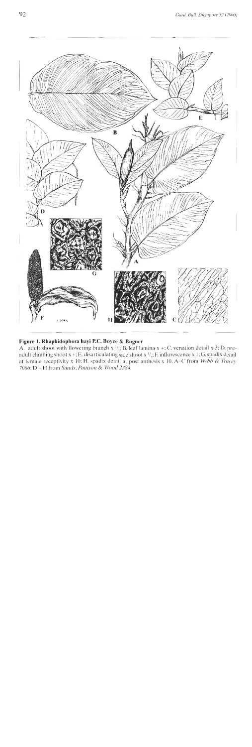

#### **Figure 1. Rhaphidophora hayi P.C. Boyce** & **Bogner**

**A.** adult shoot with flowering branch **x** <sup>1</sup>/<sub>i</sub>: B. leaf lamina **x** +: C. venation detail **x** 3; D. preadult climbing shoot  $x + E$ , disarticulating side shoot  $x \frac{1}{x}$ ; F. inflorescence x 1; *G.* spadix detail at female receptivity x 10: H. spadix detail at post anthesis x 10. A-C from Webb & Tracey *7066;* <sup>D</sup>- H horn *Snrid~. Prrttisoii* **P:** *Wood 2384.*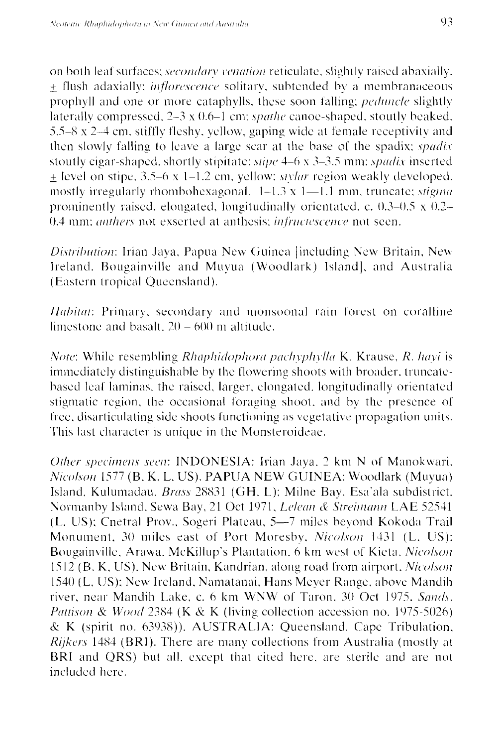on both leaf surfaces; secondary venation reticulate, slightly raised abaxially. + flush adaxially; *inflorescence* solitary, subtended by a membranaceous prophyll and one or more cataphylls, these soon falling; *peduncle* slightly laterally compressed,  $2-3 \times 0.6-1$  cm; *spathe* canoe-shaped, stoutly beaked, 5.5–8 x 2–4 cm, stiffly fleshy, yellow, gaping wide at female receptivity and then slowly falling to leave a large scar at the base of the spadix; *spadix* stoutly cigar-shaped, shortly stipitate; stipe 4-6 x 3-3.5 mm; spadix inserted  $\pm$  level on stipe, 3.5–6 x 1–1.2 cm, yellow; *stylar* region weakly developed. mostly irregularly rhombohexagonal,  $1-1.3 \times 1-1.1$  mm, truncate; *stigma* prominently raised, elongated, longitudinally orientated, c.  $0.3-0.5 \times 0.2-$ 0.4 mm; *anthers* not exserted at anthesis; *infructescence* not seen.

Distribution: Irian Jaya, Papua New Guinea [including New Britain, New Ireland, Bougainville and Muvua (Woodlark) Island], and Australia (Eastern tropical Queensland).

*Habitat*: Primary, secondary and monsoonal rain forest on coralline limestone and basalt,  $20 - 600$  m altitude.

Note: While resembling Rhaphidophora pachyphylla K. Krause, R. hayi is immediately distinguishable by the flowering shoots with broader, truncatebased leaf laminas, the raised, larger, elongated, longitudinally orientated stigmatic region, the occasional foraging shoot, and by the presence of free, disarticulating side shoots functioning as vegetative propagation units. This last character is unique in the Monsteroideae.

Other specimens seen: INDONESIA: Irian Jaya, 2 km N of Manokwari, Nicolson 1577 (B. K. L. US). PAPUA NEW GUINEA: Woodlark (Muyua) Island, Kulumadau, Brass 28831 (GH, L); Milne Bay, Esa'ala subdistrict, Normanby Island, Sewa Bay, 21 Oct 1971, Lelean & Streimann LAE 52541 (L, US); Cnetral Prov., Sogeri Plateau, 5-7 miles beyond Kokoda Trail Monument, 30 miles east of Port Moresby, Nicolson 1431 (L, US); Bougainville, Arawa, McKillup's Plantation, 6 km west of Kieta, Nicolson 1512 (B, K, US). New Britain, Kandrian, along road from airport, Nicolson 1540 (L, US); New Ireland, Namatanai, Hans Meyer Range, above Mandih river, near Mandih Lake, c. 6 km WNW of Taron, 30 Oct 1975, Sands, Pattison & Wood 2384 (K & K (living collection accession no. 1975-5026) & K (spirit no. 63938)). AUSTRALIA: Queensland, Cape Tribulation, *Rijkers* 1484 (BRI). There are many collections from Australia (mostly at BRI and QRS) but all, except that cited here, are sterile and are not included here.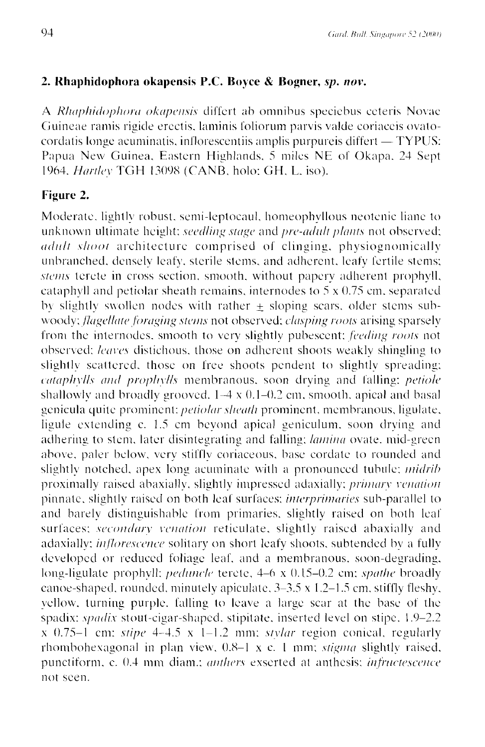## 2. Rhaphidophora okapensis P.C. Boyce & Bogner, sp. nov.

A *Rhaphidophora okapensis* differt ab omnibus speciebus ceteris Novac Guineae ramis rigide erectis, laminis foliorum parvis valde coriaceis ovatocordatis longe acuminatis, inflorescentiis amplis purpureis differt — TYPUS: Papua New Guinea, Eastern Highlands, 5 miles NE of Okapa, 24 Sept 1964. Hartley TGH 13098 (CANB, holo: GH, L. iso).

## Figure 2.

Moderate, lightly robust, semi-leptocaul, homeophyllous neotenic liane to unknown ultimate height; seedling stage and pre-adult plants not observed; *adult shoot* architecture comprised of clinging, physiognomically unbranched, densely leafy, sterile stems, and adherent, leafy fertile stems; stems terete in cross section, smooth, without papery adherent prophyll, cataphyll and petiolar sheath remains, internodes to  $5 \times 0.75$  cm, separated by slightly swollen nodes with rather  $\pm$  sloping scars, older stems subwoody; flagellate foraging stems not observed; clasping roots arising sparsely from the internodes, smooth to very slightly pubescent; feeding roots not observed; leaves distichous, those on adherent shoots weakly shingling to slightly scattered, those on free shoots pendent to slightly spreading; cataphylls and prophylls membranous, soon drying and falling; petiole shallowly and broadly grooved,  $1-4 \times 0.1-0.2$  cm, smooth, apical and basal genicula quite prominent: *petiolar sheath* prominent, membranous, ligulate, ligule extending c. 1.5 cm beyond apical geniculum, soon drying and adhering to stem, later disintegrating and falling; lamina ovate, mid-green above, paler below, very stiffly coriaceous, base cordate to rounded and slightly notched, apex long acuminate with a pronounced tubule; *midrib* proximally raised abaxially, slightly impressed adaxially; *primary venation* pinnate, slightly raised on both leaf surfaces; *interprimaries* sub-parallel to and barely distinguishable from primaries, slightly raised on both leaf surfaces; secondary venation reticulate, slightly raised abaxially and adaxially; *inflorescence* solitary on short leafy shoots, subtended by a fully developed or reduced foliage leaf, and a membranous, soon-degrading, long-ligulate prophyll; *peduncle* terete, 4–6 x 0.15–0.2 cm; *spathe* broadly canoe-shaped, rounded, minutely apiculate, 3–3.5 x 1.2–1.5 cm, stiffly fleshy, vellow, turning purple, falling to leave a large scar at the base of the spadix: *spadix* stout-cigar-shaped, stipitate, inserted level on stipe, 1.9–2.2  $x$  0.75–1 cm; stipe 4–4.5  $x$  1–1.2 mm; stylar region conical, regularly rhombohexagonal in plan view,  $0.8-1$  x c. 1 mm; *stigma* slightly raised, punctiform, c. 0.4 mm diam.; *anthers* exserted at anthesis; *infructescence* not seen.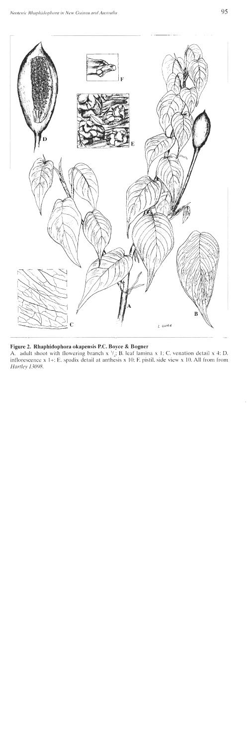

#### Figure 2. Rhaphidophora okapensis P.C. Boyce & Bogner

A. adult shoot with flowering branch x  $\mathcal{V}_4$ ; B. leaf lamina x 1; C. venation detail x 4; D. inflorescence x 1+: E. spadix detail at anthesis x 10; F. pistil, side view x 10. All from from Hartley 13098.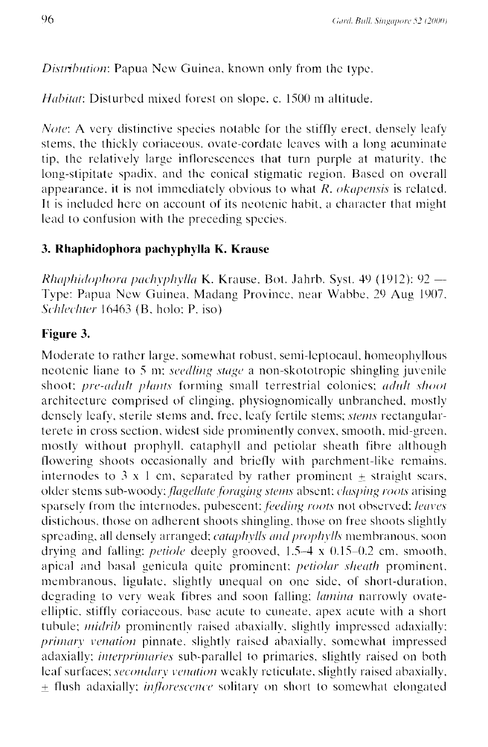Distribution: Papua New Guinea, known only from the type.

Habitat: Disturbed mixed forest on slope, c. 1500 m altitude.

*Note:* A very distinctive species notable for the stiffly erect, densely leafy stems, the thickly coriaceous, ovate-cordate leaves with a long acuminate tip, the relatively large inflorescences that turn purple at maturity, the long-stipitate spadix, and the conical stigmatic region. Based on overall appearance, it is not immediately obvious to what  $\overline{R}$ , *okapensis* is related. It is included here on account of its neotenic habit, a character that might lead to confusion with the preceding species.

## 3. Rhaphidophora pachyphylla K. Krause

*Rhaphidophora pachyphylla* K. Krause, Bot. Jahrb. Syst. 49 (1912):  $92 -$ Type: Papua New Guinea, Madang Province, near Wabbe, 29 Aug 1907, Schlechter 16463 (B, holo; P, iso)

# Figure 3.

Moderate to rather large, somewhat robust, semi-leptocaul, homeophyllous neotenic liane to 5 m; *seedling stage* a non-skototropic shingling juvenile shoot; pre-adult plants forming small terrestrial colonies; adult shoot architecture comprised of clinging, physiognomically unbranched, mostly densely leafy, sterile stems and, free, leafy fertile stems; *stems* rectangularterete in cross section, widest side prominently convex, smooth, mid-green, mostly without prophyll, cataphyll and petiolar sheath fibre although flowering shoots occasionally and briefly with parchment-like remains. internodes to 3 x 1 cm, separated by rather prominent  $\pm$  straight scars, older stems sub-woody; *flagellate foraging stems* absent; *clasping roots* arising sparsely from the internodes, pubescent; feeding roots not observed; leaves distichous, those on adherent shoots shingling, those on free shoots slightly spreading, all densely arranged; cataphylls and prophylls membranous, soon drying and falling: *petiole* deeply grooved,  $1.5-4 \times 0.15-0.2$  cm, smooth, apical and basal genicula quite prominent; *petiolar sheath* prominent, membranous, ligulate, slightly unequal on one side, of short-duration, degrading to very weak fibres and soon falling; *lamina* narrowly ovateelliptic, stiffly coriaceous, base acute to cuneate, apex acute with a short tubule; *midrib* prominently raised abaxially, slightly impressed adaxially; primary venation pinnate, slightly raised abaxially, somewhat impressed adaxially; *interprimaries* sub-parallel to primaries, slightly raised on both leaf surfaces; secondary venation weakly reticulate, slightly raised abaxially, + flush adaxially; *inflorescence* solitary on short to somewhat elongated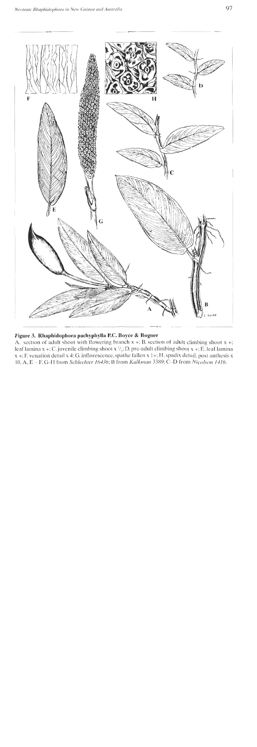

#### Figure 3. Rhaphidophora pachyphylla P.C. Boyce & Bogner

**A.** section of adult shoot with flowering branch **x** +: B. section **of** adult climbing shoot **x** +; leaf lamina x +; C. juvenile climbing shoot x  $\frac{1}{i}$ ; D. pre-adult climbing shoot x +; E. leaf lamina **x** +; F, venation detail x 4: *G*. inflorescence, spathe fallen x 1+; H. spadix detail, post anthesis x 10. A, E - F. G-H from *Schlechter 16436*; B from *Kalkman* 3389; C-D from *Nicolson 1416*.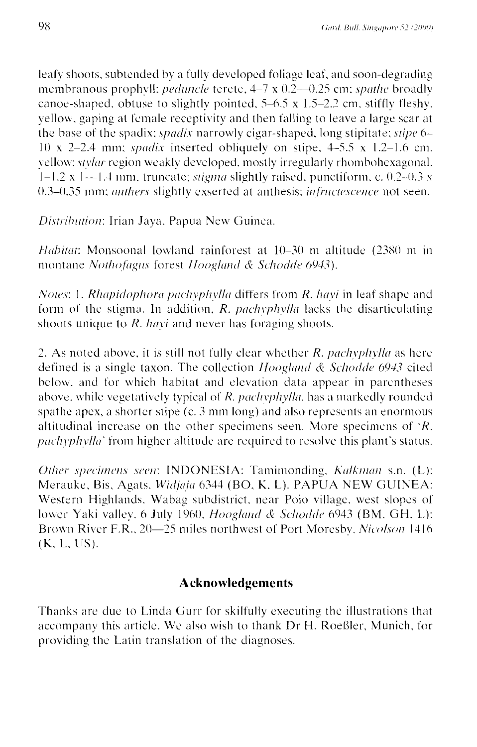leafy shoots, subtended by a fully developed foliage leaf, and soon-degrading membranous prophyll: *peduncle* terete, 4-7 x 0.2-0.25 cm; *spathe* broadly canoe-shaped, obtuse to slightly pointed,  $5-6.5 \times 1.5-2.2$  cm, stiffly fleshy. yellow, gaping at female receptivity and then falling to leave a large scar at the base of the spadix; *spadix* narrowly cigar-shaped. long stipitate; *stipe* 6- $10 \times 2-2.4$  mm; *spadix* inserted obliquely on stipe,  $4-5.5 \times 1.2-1.6$  cm. vellow: *stylar* region weakly developed, mostly irregularly rhomboliexagonal, 1-1.2 x 1-1.4 mm, truncate; *stigma* slightly raised, punctiform, c. 0.2-0.3 x 0.3-0.35 mm; *anthers* slightly exserted at anthesis; *infructescence* not seen.

*Distribution:* Irian Jaya, Papua New Guinea.

*Habitat*: Monsoonal lowland rainforest at 10-30 m altitude (2380 m in montane Nothofagus forest Hoogland & Schodde 6943).

*Notes: 1. Rhapidophora pachyplylla* differs from *R. havi* in leaf shape and form of the stigma. In addition, *R. pachyphylla* lacks the disarticulating shoots unique to *R. hayi* and never has foraging shoots.

2. As noted above, it is still not fully clear whether *R. pachyplivila* as here defined is a single taxon. The collection *Hoogland & Schodde 6943* cited below, and for which habitat and elevation data appear in parentheses above, while vegetatively typical of *R. pachyphylla*, has a markedly rounded spathe apex, a shorter stipe  $(c. 3 \text{ mm long})$  and also represents an enormous altitudinal increase on thc other specimens seen. More specimens of *'K. pachyphylla*<sup> $\dot{a}$ </sup> from higher altitude are required to resolve this plant's status.

*Other specimens seen*: **INDONESIA:** Taminionding, *Kalkman s.n.* (L): Merauke, Bis, Agats. *Widjaja* 6344 (BO, K, L). PAPUA NEW GUINEA: Western Highlands. Wabag subdistrict, near Poio village, west slopes of lower Yaki valley. 6 July 1960, *Hoogland & Schodde* 6943 (BM, GH, L): Brown River F.R., 20-25 miles northwest of Port Moresby, *Nicolson* 1416  $(K, L, US).$ 

## **Acknowledgements**

Thanks are due to Linda Gurr for skilfully executing the illustrations that accompany this article. We also wish to thank Dr H. Roeßler, Munich, for providing the Latin translation of the diagnoses.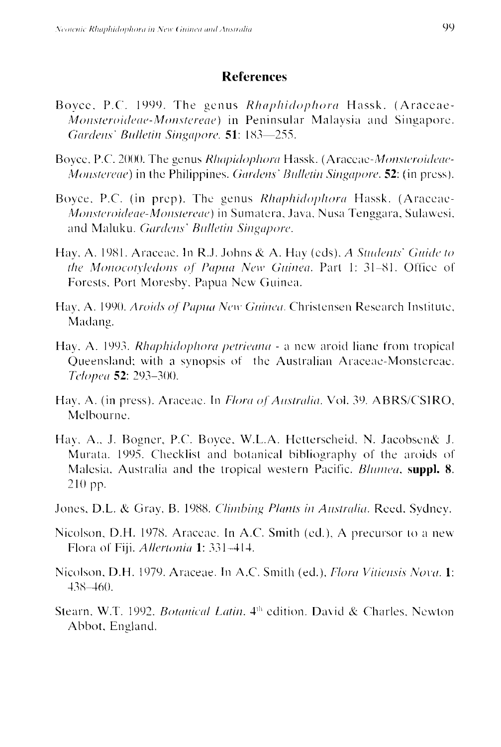#### **References**

- Boyce, P.C. 1999. The genus Rhaphidophora Hassk. (Araceae-*Monsteroideae-Monstereae*) in Peninsular Malaysia and Singapore. Gardens' Bulletin Singapore, 51: 183-255.
- Boyce, P.C. 2000. The genus *Rhapidophora* Hassk. (Araceae-*Monsteroideae-*Monstereae) in the Philippines. Gardens' Bulletin Singapore. 52: (in press).
- Boyce, P.C. (in prep). The genus Rhaphidophora Hassk. (Araceae-Monsteroideae-Monstereae) in Sumatera, Java, Nusa Tenggara, Sulawesi, and Maluku. Gardens' Bulletin Singapore.
- Hay, A. 1981. Araceae. In R.J. Johns & A. Hay (eds), A Students' Guide to the Monocotyledons of Papua New Guinea. Part 1: 31-81. Office of Forests, Port Moresby, Papua New Guinea.
- Hay, A. 1990. *Aroids of Papua New Guinea*. Christensen Research Institute, Madang.
- Hay, A. 1993. *Rhaphidophora petrieana* a new aroid liane from tropical Queensland; with a synopsis of the Australian Araceae-Monstereae. Telopea 52: 293-300.
- Hay, A. (in press). Araceae. In *Flora of Australia*. Vol. 39. ABRS/CSIRO, Melbourne.
- Hay, A., J. Bogner, P.C. Boyce, W.L.A. Hetterscheid, N. Jacobsen& J. Murata, 1995. Checklist and botanical bibliography of the aroids of Malesia, Australia and the tropical western Pacific. *Blumea*, suppl. 8.  $210$  pp.
- Jones, D.L. & Gray, B. 1988. Climbing Plants in Australia. Reed. Sydney.
- Nicolson, D.H. 1978. Araceae. In A.C. Smith (ed.), A precursor to a new Flora of Fiji. Allertonia 1: 331-414.
- Nicolson, D.H. 1979. Araceae. In A.C. Smith (ed.), Flora Vitiensis Nova. 1:  $438 - 460.$
- Stearn, W.T. 1992. *Botanical Latin*, 4<sup>th</sup> edition. David & Charles, Newton Abbot, England.